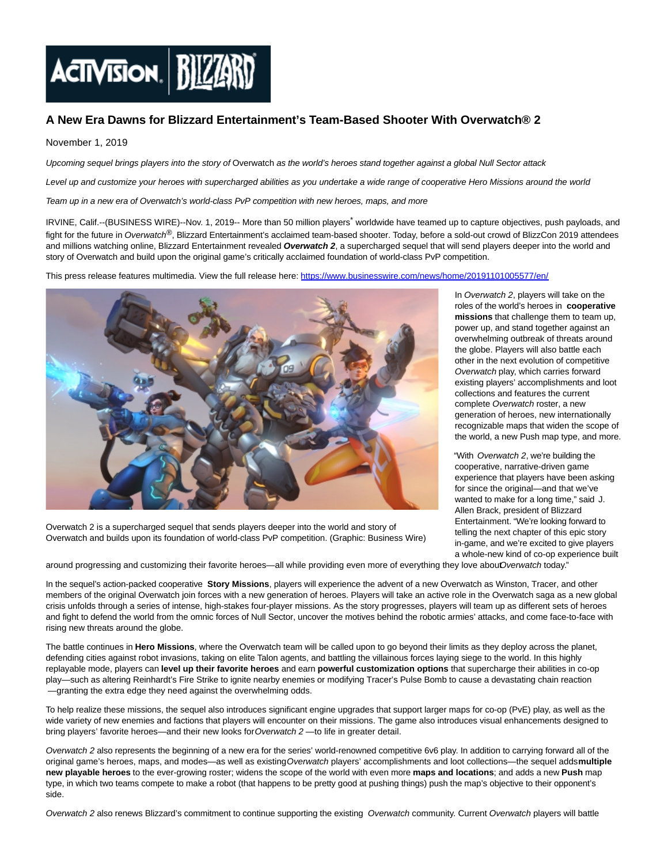

## **A New Era Dawns for Blizzard Entertainment's Team-Based Shooter With Overwatch® 2**

## November 1, 2019

Upcoming sequel brings players into the story of Overwatch as the world's heroes stand together against a global Null Sector attack

Level up and customize your heroes with supercharged abilities as you undertake a wide range of cooperative Hero Missions around the world

Team up in a new era of Overwatch's world-class PvP competition with new heroes, maps, and more

IRVINE, Calif.--(BUSINESS WIRE)--Nov. 1, 2019-- More than 50 million players<sup>\*</sup> worldwide have teamed up to capture objectives, push payloads, and fight for the future in Overwatch®, Blizzard Entertainment's acclaimed team-based shooter. Today, before a sold-out crowd of BlizzCon 2019 attendees and millions watching online, Blizzard Entertainment revealed **Overwatch 2**, a supercharged sequel that will send players deeper into the world and story of Overwatch and build upon the original game's critically acclaimed foundation of world-class PvP competition.

This press release features multimedia. View the full release here:<https://www.businesswire.com/news/home/20191101005577/en/>



Overwatch 2 is a supercharged sequel that sends players deeper into the world and story of Overwatch and builds upon its foundation of world-class PvP competition. (Graphic: Business Wire)

power up, and stand together against an overwhelming outbreak of threats around the globe. Players will also battle each other in the next evolution of competitive Overwatch play, which carries forward existing players' accomplishments and loot collections and features the current complete Overwatch roster, a new generation of heroes, new internationally recognizable maps that widen the scope of the world, a new Push map type, and more. "With Overwatch 2, we're building the

In Overwatch 2, players will take on the roles of the world's heroes in **cooperative missions** that challenge them to team up,

cooperative, narrative-driven game experience that players have been asking for since the original—and that we've wanted to make for a long time," said J. Allen Brack, president of Blizzard Entertainment. "We're looking forward to telling the next chapter of this epic story in-game, and we're excited to give players a whole-new kind of co-op experience built

around progressing and customizing their favorite heroes—all while providing even more of everything they love about Overwatch today."

In the sequel's action-packed cooperative **Story Missions**, players will experience the advent of a new Overwatch as Winston, Tracer, and other members of the original Overwatch join forces with a new generation of heroes. Players will take an active role in the Overwatch saga as a new global crisis unfolds through a series of intense, high-stakes four-player missions. As the story progresses, players will team up as different sets of heroes and fight to defend the world from the omnic forces of Null Sector, uncover the motives behind the robotic armies' attacks, and come face-to-face with rising new threats around the globe.

The battle continues in **Hero Missions**, where the Overwatch team will be called upon to go beyond their limits as they deploy across the planet, defending cities against robot invasions, taking on elite Talon agents, and battling the villainous forces laying siege to the world. In this highly replayable mode, players can **level up their favorite heroes** and earn **powerful customization options** that supercharge their abilities in co-op play—such as altering Reinhardt's Fire Strike to ignite nearby enemies or modifying Tracer's Pulse Bomb to cause a devastating chain reaction —granting the extra edge they need against the overwhelming odds.

To help realize these missions, the sequel also introduces significant engine upgrades that support larger maps for co-op (PvE) play, as well as the wide variety of new enemies and factions that players will encounter on their missions. The game also introduces visual enhancements designed to bring players' favorite heroes—and their new looks for Overwatch 2 —to life in greater detail.

Overwatch 2 also represents the beginning of a new era for the series' world-renowned competitive 6v6 play. In addition to carrying forward all of the original game's heroes, maps, and modes—as well as existing Overwatch players' accomplishments and loot collections—the sequel adds **multiple new playable heroes** to the ever-growing roster; widens the scope of the world with even more **maps and locations**; and adds a new **Push** map type, in which two teams compete to make a robot (that happens to be pretty good at pushing things) push the map's objective to their opponent's side.

Overwatch 2 also renews Blizzard's commitment to continue supporting the existing Overwatch community. Current Overwatch players will battle